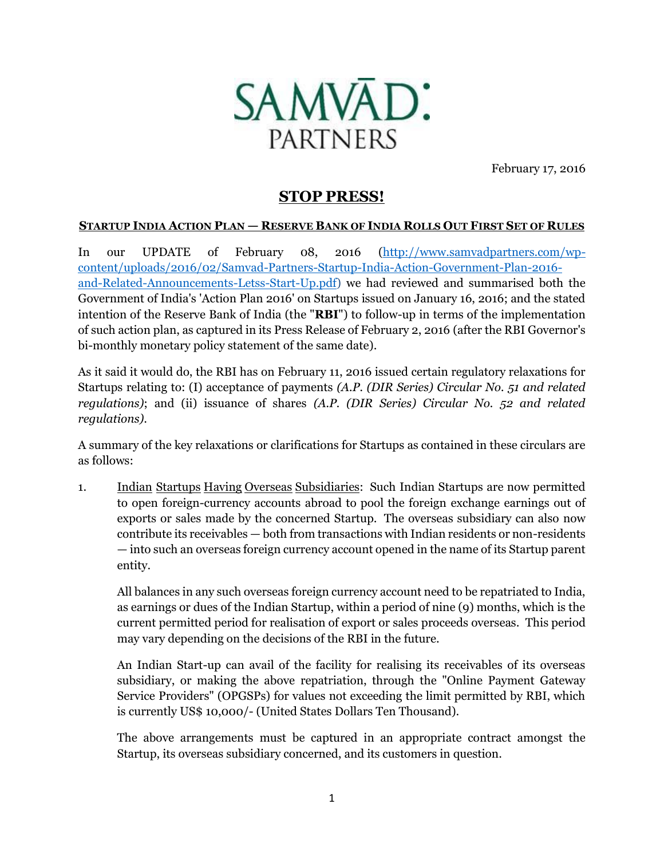

February 17, 2016

## **STOP PRESS!**

## **STARTUP INDIA ACTION PLAN - RESERVE BANK OF INDIA ROLLS OUT FIRST SET OF RULES**

In our UPDATE of February 08, 2016 [\(http://www.samvadpartners.com/wp](http://www.samvadpartners.com/wp-content/uploads/2016/02/Samvad-Partners-Startup-India-Action-Government-Plan-2016-and-Related-Announcements-Letss-Start-Up.pdf)[content/uploads/2016/02/Samvad-Partners-Startup-India-Action-Government-Plan-2016](http://www.samvadpartners.com/wp-content/uploads/2016/02/Samvad-Partners-Startup-India-Action-Government-Plan-2016-and-Related-Announcements-Letss-Start-Up.pdf) [and-Related-Announcements-Letss-Start-Up.pdf\)](http://www.samvadpartners.com/wp-content/uploads/2016/02/Samvad-Partners-Startup-India-Action-Government-Plan-2016-and-Related-Announcements-Letss-Start-Up.pdf) we had reviewed and summarised both the Government of India's 'Action Plan 2016' on Startups issued on January 16, 2016; and the stated intention of the Reserve Bank of India (the "**RBI**") to follow-up in terms of the implementation of such action plan, as captured in its Press Release of February 2, 2016 (after the RBI Governor's bi-monthly monetary policy statement of the same date).

As it said it would do, the RBI has on February 11, 2016 issued certain regulatory relaxations for Startups relating to: (I) acceptance of payments *(A.P. (DIR Series) Circular No. 51 and related regulations)*; and (ii) issuance of shares *(A.P. (DIR Series) Circular No. 52 and related regulations)*.

A summary of the key relaxations or clarifications for Startups as contained in these circulars are as follows:

1. Indian Startups Having Overseas Subsidiaries: Such Indian Startups are now permitted to open foreign-currency accounts abroad to pool the foreign exchange earnings out of exports or sales made by the concerned Startup. The overseas subsidiary can also now contribute its receivables — both from transactions with Indian residents or non-residents — into such an overseas foreign currency account opened in the name of its Startup parent entity.

All balances in any such overseas foreign currency account need to be repatriated to India, as earnings or dues of the Indian Startup, within a period of nine (9) months, which is the current permitted period for realisation of export or sales proceeds overseas. This period may vary depending on the decisions of the RBI in the future.

An Indian Start-up can avail of the facility for realising its receivables of its overseas subsidiary, or making the above repatriation, through the "Online Payment Gateway Service Providers" (OPGSPs) for values not exceeding the limit permitted by RBI, which is currently US\$ 10,000/- (United States Dollars Ten Thousand).

The above arrangements must be captured in an appropriate contract amongst the Startup, its overseas subsidiary concerned, and its customers in question.